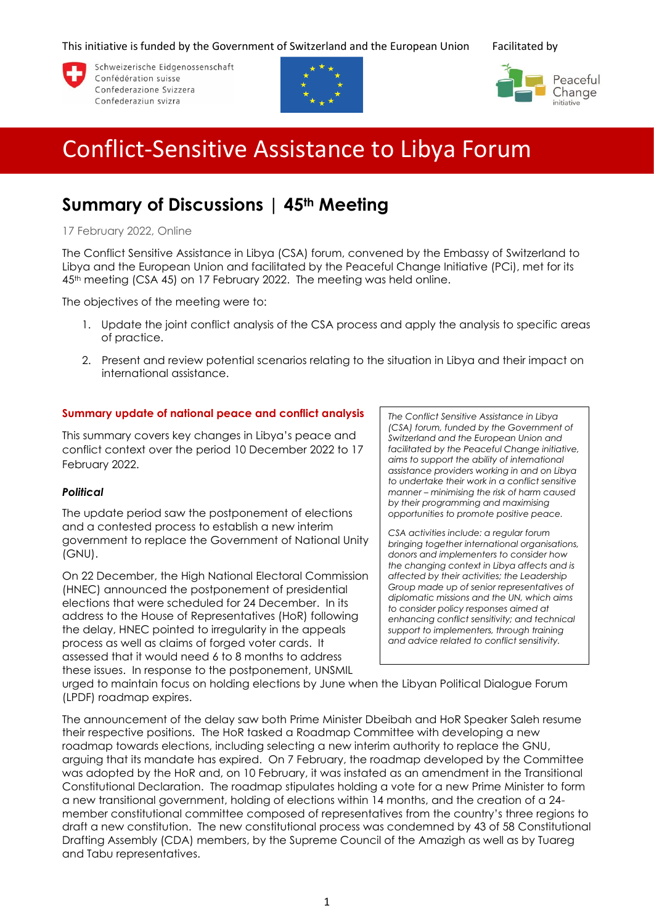This initiative is funded by the Government of Switzerland and the European Union Facilitated by



Schweizerische Eidgenossenschaft Confédération suisse Confederazione Svizzera Confederaziun svizra





# Conflict-Sensitive Assistance to Libya Forum

# **Summary of Discussions | 45th Meeting**

17 February 2022, Online

The Conflict Sensitive Assistance in Libya (CSA) forum, convened by the Embassy of Switzerland to Libya and the European Union and facilitated by the Peaceful Change Initiative (PCi), met for its 45th meeting (CSA 45) on 17 February 2022. The meeting was held online.

The objectives of the meeting were to:

- 1. Update the joint conflict analysis of the CSA process and apply the analysis to specific areas of practice.
- 2. Present and review potential scenarios relating to the situation in Libya and their impact on international assistance.

# **Summary update of national peace and conflict analysis**

This summary covers key changes in Libya's peace and conflict context over the period 10 December 2022 to 17 February 2022.

# *Political*

The update period saw the postponement of elections and a contested process to establish a new interim government to replace the Government of National Unity (GNU).

On 22 December, the High National Electoral Commission (HNEC) announced the postponement of presidential elections that were scheduled for 24 December. In its address to the House of Representatives (HoR) following the delay, HNEC pointed to irregularity in the appeals process as well as claims of forged voter cards. It assessed that it would need 6 to 8 months to address these issues. In response to the postponement, UNSMIL

*The Conflict Sensitive Assistance in Libya (CSA) forum, funded by the Government of Switzerland and the European Union and facilitated by the Peaceful Change initiative, aims to support the ability of international assistance providers working in and on Libya to undertake their work in a conflict sensitive manner – minimising the risk of harm caused by their programming and maximising opportunities to promote positive peace.*

*CSA activities include: a regular forum bringing together international organisations, donors and implementers to consider how the changing context in Libya affects and is affected by their activities; the Leadership Group made up of senior representatives of diplomatic missions and the UN, which aims to consider policy responses aimed at enhancing conflict sensitivity; and technical support to implementers, through training and advice related to conflict sensitivity.*

urged to maintain focus on holding elections by June when the Libyan Political Dialogue Forum (LPDF) roadmap expires.

The announcement of the delay saw both Prime Minister Dbeibah and HoR Speaker Saleh resume their respective positions. The HoR tasked a Roadmap Committee with developing a new roadmap towards elections, including selecting a new interim authority to replace the GNU, arguing that its mandate has expired. On 7 February, the roadmap developed by the Committee was adopted by the HoR and, on 10 February, it was instated as an amendment in the Transitional Constitutional Declaration. The roadmap stipulates holding a vote for a new Prime Minister to form a new transitional government, holding of elections within 14 months, and the creation of a 24 member constitutional committee composed of representatives from the country's three regions to draft a new constitution. The new constitutional process was condemned by 43 of 58 Constitutional Drafting Assembly (CDA) members, by the Supreme Council of the Amazigh as well as by Tuareg and Tabu representatives.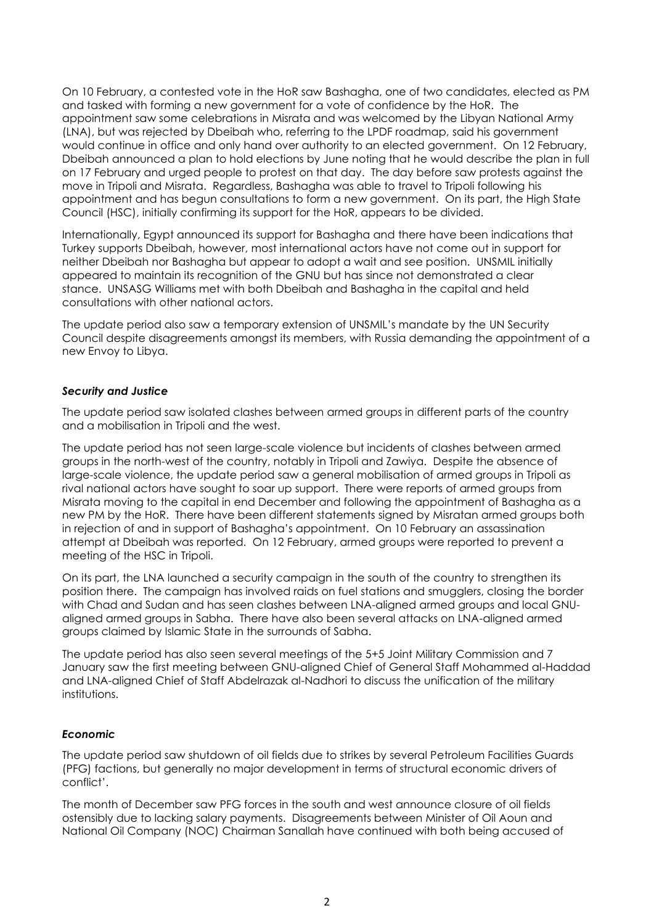On 10 February, a contested vote in the HoR saw Bashagha, one of two candidates, elected as PM and tasked with forming a new government for a vote of confidence by the HoR. The appointment saw some celebrations in Misrata and was welcomed by the Libyan National Army (LNA), but was rejected by Dbeibah who, referring to the LPDF roadmap, said his government would continue in office and only hand over authority to an elected government. On 12 February, Dbeibah announced a plan to hold elections by June noting that he would describe the plan in full on 17 February and urged people to protest on that day. The day before saw protests against the move in Tripoli and Misrata. Regardless, Bashagha was able to travel to Tripoli following his appointment and has begun consultations to form a new government. On its part, the High State Council (HSC), initially confirming its support for the HoR, appears to be divided.

Internationally, Egypt announced its support for Bashagha and there have been indications that Turkey supports Dbeibah, however, most international actors have not come out in support for neither Dbeibah nor Bashagha but appear to adopt a wait and see position. UNSMIL initially appeared to maintain its recognition of the GNU but has since not demonstrated a clear stance. UNSASG Williams met with both Dbeibah and Bashagha in the capital and held consultations with other national actors.

The update period also saw a temporary extension of UNSMIL's mandate by the UN Security Council despite disagreements amongst its members, with Russia demanding the appointment of a new Envoy to Libya.

# *Security and Justice*

The update period saw isolated clashes between armed groups in different parts of the country and a mobilisation in Tripoli and the west.

The update period has not seen large-scale violence but incidents of clashes between armed groups in the north-west of the country, notably in Tripoli and Zawiya. Despite the absence of large-scale violence, the update period saw a general mobilisation of armed groups in Tripoli as rival national actors have sought to soar up support. There were reports of armed groups from Misrata moving to the capital in end December and following the appointment of Bashagha as a new PM by the HoR. There have been different statements signed by Misratan armed groups both in rejection of and in support of Bashagha's appointment. On 10 February an assassination attempt at Dbeibah was reported. On 12 February, armed groups were reported to prevent a meeting of the HSC in Tripoli.

On its part, the LNA launched a security campaign in the south of the country to strengthen its position there. The campaign has involved raids on fuel stations and smugglers, closing the border with Chad and Sudan and has seen clashes between LNA-aligned armed groups and local GNUaligned armed groups in Sabha. There have also been several attacks on LNA-aligned armed groups claimed by Islamic State in the surrounds of Sabha.

The update period has also seen several meetings of the 5+5 Joint Military Commission and 7 January saw the first meeting between GNU-aligned Chief of General Staff Mohammed al-Haddad and LNA-aligned Chief of Staff Abdelrazak al-Nadhori to discuss the unification of the military institutions.

#### *Economic*

The update period saw shutdown of oil fields due to strikes by several Petroleum Facilities Guards (PFG) factions, but generally no major development in terms of structural economic drivers of conflict'.

The month of December saw PFG forces in the south and west announce closure of oil fields ostensibly due to lacking salary payments. Disagreements between Minister of Oil Aoun and National Oil Company (NOC) Chairman Sanallah have continued with both being accused of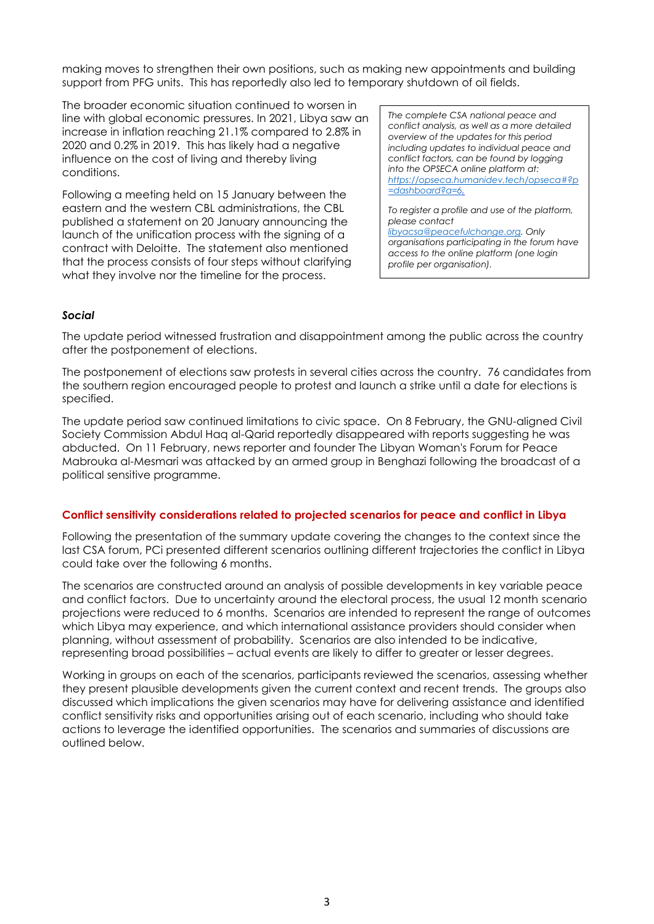making moves to strengthen their own positions, such as making new appointments and building support from PFG units. This has reportedly also led to temporary shutdown of oil fields.

The broader economic situation continued to worsen in line with global economic pressures. In 2021, Libya saw an increase in inflation reaching 21.1% compared to 2.8% in 2020 and 0.2% in 2019. This has likely had a negative influence on the cost of living and thereby living conditions.

Following a meeting held on 15 January between the eastern and the western CBL administrations, the CBL published a statement on 20 January announcing the launch of the unification process with the signing of a contract with Deloitte. The statement also mentioned that the process consists of four steps without clarifying what they involve nor the timeline for the process.

*The complete CSA national peace and conflict analysis, as well as a more detailed overview of the updates for this period including updates to individual peace and conflict factors, can be found by logging into the OPSECA online platform at: [https://opseca.humanidev.tech/opseca#?p](https://opseca.humanidev.tech/opseca#?p=dashboard?a=6) [=dashboard?a=6.](https://opseca.humanidev.tech/opseca#?p=dashboard?a=6)*

*To register a profile and use of the platform, please contact [libyacsa@peacefulchange.org.](mailto:libyacsa@peacefulchange.org) Only organisations participating in the forum have access to the online platform (one login profile per organisation).*

# *Social*

The update period witnessed frustration and disappointment among the public across the country after the postponement of elections.

The postponement of elections saw protests in several cities across the country. 76 candidates from the southern region encouraged people to protest and launch a strike until a date for elections is specified.

The update period saw continued limitations to civic space. On 8 February, the GNU-aligned Civil Society Commission Abdul Haq al-Qarid reportedly disappeared with reports suggesting he was abducted. On 11 February, news reporter and founder The Libyan Woman's Forum for Peace Mabrouka al-Mesmari was attacked by an armed group in Benghazi following the broadcast of a political sensitive programme.

#### **Conflict sensitivity considerations related to projected scenarios for peace and conflict in Libya**

Following the presentation of the summary update covering the changes to the context since the last CSA forum, PCi presented different scenarios outlining different trajectories the conflict in Libya could take over the following 6 months.

The scenarios are constructed around an analysis of possible developments in key variable peace and conflict factors. Due to uncertainty around the electoral process, the usual 12 month scenario projections were reduced to 6 months. Scenarios are intended to represent the range of outcomes which Libya may experience, and which international assistance providers should consider when planning, without assessment of probability. Scenarios are also intended to be indicative, representing broad possibilities – actual events are likely to differ to greater or lesser degrees.

Working in groups on each of the scenarios, participants reviewed the scenarios, assessing whether they present plausible developments given the current context and recent trends. The groups also discussed which implications the given scenarios may have for delivering assistance and identified conflict sensitivity risks and opportunities arising out of each scenario, including who should take actions to leverage the identified opportunities. The scenarios and summaries of discussions are outlined below.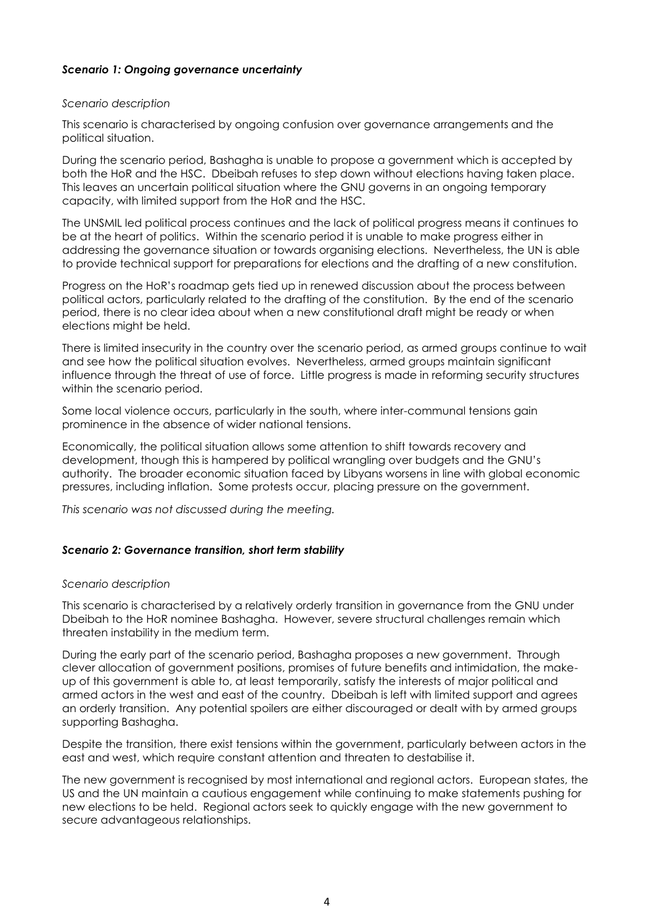# *Scenario 1: Ongoing governance uncertainty*

#### *Scenario description*

This scenario is characterised by ongoing confusion over governance arrangements and the political situation.

During the scenario period, Bashagha is unable to propose a government which is accepted by both the HoR and the HSC. Dbeibah refuses to step down without elections having taken place. This leaves an uncertain political situation where the GNU governs in an ongoing temporary capacity, with limited support from the HoR and the HSC.

The UNSMIL led political process continues and the lack of political progress means it continues to be at the heart of politics. Within the scenario period it is unable to make progress either in addressing the governance situation or towards organising elections. Nevertheless, the UN is able to provide technical support for preparations for elections and the drafting of a new constitution.

Progress on the HoR's roadmap gets tied up in renewed discussion about the process between political actors, particularly related to the drafting of the constitution. By the end of the scenario period, there is no clear idea about when a new constitutional draft might be ready or when elections might be held.

There is limited insecurity in the country over the scenario period, as armed groups continue to wait and see how the political situation evolves. Nevertheless, armed groups maintain significant influence through the threat of use of force. Little progress is made in reforming security structures within the scenario period.

Some local violence occurs, particularly in the south, where inter-communal tensions gain prominence in the absence of wider national tensions.

Economically, the political situation allows some attention to shift towards recovery and development, though this is hampered by political wrangling over budgets and the GNU's authority. The broader economic situation faced by Libyans worsens in line with global economic pressures, including inflation. Some protests occur, placing pressure on the government.

*This scenario was not discussed during the meeting.*

#### *Scenario 2: Governance transition, short term stability*

#### *Scenario description*

This scenario is characterised by a relatively orderly transition in governance from the GNU under Dbeibah to the HoR nominee Bashagha. However, severe structural challenges remain which threaten instability in the medium term.

During the early part of the scenario period, Bashagha proposes a new government. Through clever allocation of government positions, promises of future benefits and intimidation, the makeup of this government is able to, at least temporarily, satisfy the interests of major political and armed actors in the west and east of the country. Dbeibah is left with limited support and agrees an orderly transition. Any potential spoilers are either discouraged or dealt with by armed groups supporting Bashagha.

Despite the transition, there exist tensions within the government, particularly between actors in the east and west, which require constant attention and threaten to destabilise it.

The new government is recognised by most international and regional actors. European states, the US and the UN maintain a cautious engagement while continuing to make statements pushing for new elections to be held. Regional actors seek to quickly engage with the new government to secure advantageous relationships.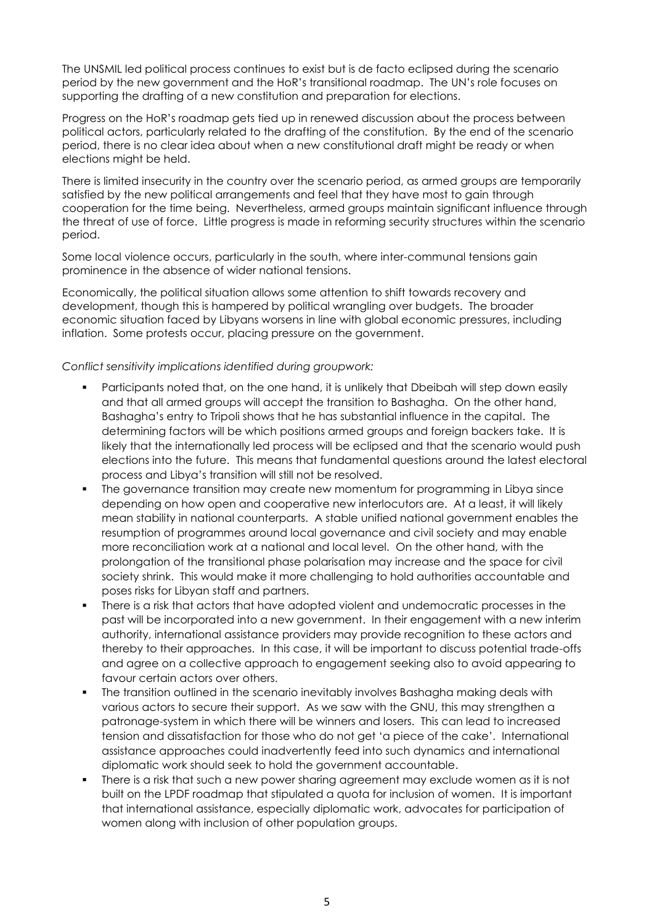The UNSMIL led political process continues to exist but is de facto eclipsed during the scenario period by the new government and the HoR's transitional roadmap. The UN's role focuses on supporting the drafting of a new constitution and preparation for elections.

Progress on the HoR's roadmap gets tied up in renewed discussion about the process between political actors, particularly related to the drafting of the constitution. By the end of the scenario period, there is no clear idea about when a new constitutional draft might be ready or when elections might be held.

There is limited insecurity in the country over the scenario period, as armed groups are temporarily satisfied by the new political arrangements and feel that they have most to gain through cooperation for the time being. Nevertheless, armed groups maintain significant influence through the threat of use of force. Little progress is made in reforming security structures within the scenario period.

Some local violence occurs, particularly in the south, where inter-communal tensions gain prominence in the absence of wider national tensions.

Economically, the political situation allows some attention to shift towards recovery and development, though this is hampered by political wrangling over budgets. The broader economic situation faced by Libyans worsens in line with global economic pressures, including inflation. Some protests occur, placing pressure on the government.

# *Conflict sensitivity implications identified during groupwork:*

- Participants noted that, on the one hand, it is unlikely that Dbeibah will step down easily and that all armed groups will accept the transition to Bashagha. On the other hand, Bashagha's entry to Tripoli shows that he has substantial influence in the capital. The determining factors will be which positions armed groups and foreign backers take. It is likely that the internationally led process will be eclipsed and that the scenario would push elections into the future. This means that fundamental questions around the latest electoral process and Libya's transition will still not be resolved.
- The governance transition may create new momentum for programming in Libya since depending on how open and cooperative new interlocutors are. At a least, it will likely mean stability in national counterparts. A stable unified national government enables the resumption of programmes around local governance and civil society and may enable more reconciliation work at a national and local level. On the other hand, with the prolongation of the transitional phase polarisation may increase and the space for civil society shrink. This would make it more challenging to hold authorities accountable and poses risks for Libyan staff and partners.
- There is a risk that actors that have adopted violent and undemocratic processes in the past will be incorporated into a new government. In their engagement with a new interim authority, international assistance providers may provide recognition to these actors and thereby to their approaches. In this case, it will be important to discuss potential trade-offs and agree on a collective approach to engagement seeking also to avoid appearing to favour certain actors over others.
- **•** The transition outlined in the scenario inevitably involves Bashagha making deals with various actors to secure their support. As we saw with the GNU, this may strengthen a patronage-system in which there will be winners and losers. This can lead to increased tension and dissatisfaction for those who do not get 'a piece of the cake'. International assistance approaches could inadvertently feed into such dynamics and international diplomatic work should seek to hold the government accountable.
- There is a risk that such a new power sharing agreement may exclude women as it is not built on the LPDF roadmap that stipulated a quota for inclusion of women. It is important that international assistance, especially diplomatic work, advocates for participation of women along with inclusion of other population groups.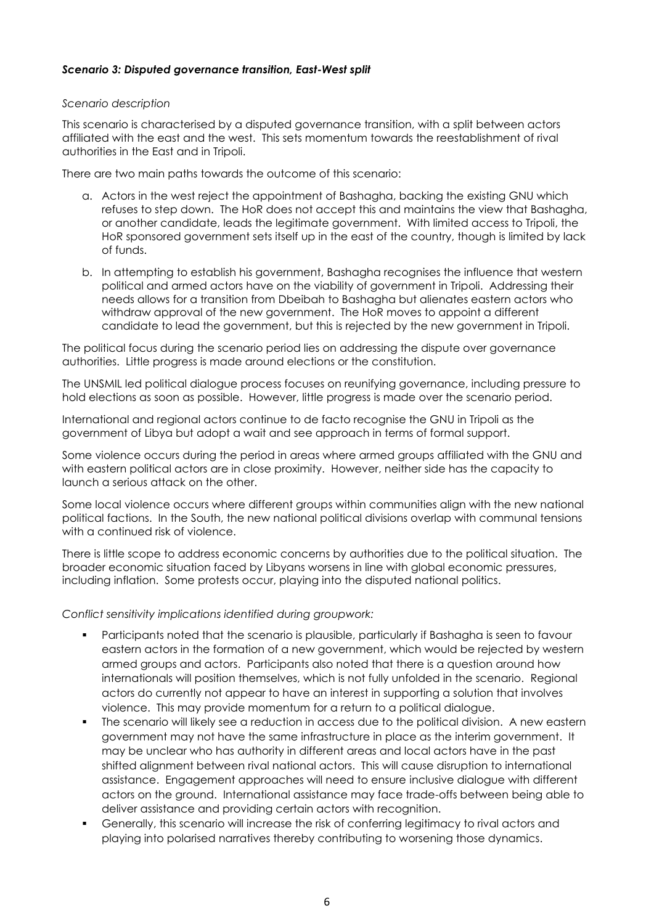### *Scenario 3: Disputed governance transition, East-West split*

#### *Scenario description*

This scenario is characterised by a disputed governance transition, with a split between actors affiliated with the east and the west. This sets momentum towards the reestablishment of rival authorities in the East and in Tripoli.

There are two main paths towards the outcome of this scenario:

- a. Actors in the west reject the appointment of Bashagha, backing the existing GNU which refuses to step down. The HoR does not accept this and maintains the view that Bashagha, or another candidate, leads the legitimate government. With limited access to Tripoli, the HoR sponsored government sets itself up in the east of the country, though is limited by lack of funds.
- b. In attempting to establish his government, Bashagha recognises the influence that western political and armed actors have on the viability of government in Tripoli. Addressing their needs allows for a transition from Dbeibah to Bashagha but alienates eastern actors who withdraw approval of the new government. The HoR moves to appoint a different candidate to lead the government, but this is rejected by the new government in Tripoli.

The political focus during the scenario period lies on addressing the dispute over governance authorities. Little progress is made around elections or the constitution.

The UNSMIL led political dialogue process focuses on reunifying governance, including pressure to hold elections as soon as possible. However, little progress is made over the scenario period.

International and regional actors continue to de facto recognise the GNU in Tripoli as the government of Libya but adopt a wait and see approach in terms of formal support.

Some violence occurs during the period in areas where armed groups affiliated with the GNU and with eastern political actors are in close proximity. However, neither side has the capacity to launch a serious attack on the other.

Some local violence occurs where different groups within communities align with the new national political factions. In the South, the new national political divisions overlap with communal tensions with a continued risk of violence.

There is little scope to address economic concerns by authorities due to the political situation. The broader economic situation faced by Libyans worsens in line with global economic pressures, including inflation. Some protests occur, playing into the disputed national politics.

*Conflict sensitivity implications identified during groupwork:*

- Participants noted that the scenario is plausible, particularly if Bashagha is seen to favour eastern actors in the formation of a new government, which would be rejected by western armed groups and actors. Participants also noted that there is a question around how internationals will position themselves, which is not fully unfolded in the scenario. Regional actors do currently not appear to have an interest in supporting a solution that involves violence. This may provide momentum for a return to a political dialogue.
- **•** The scenario will likely see a reduction in access due to the political division. A new eastern government may not have the same infrastructure in place as the interim government. It may be unclear who has authority in different areas and local actors have in the past shifted alignment between rival national actors. This will cause disruption to international assistance. Engagement approaches will need to ensure inclusive dialogue with different actors on the ground. International assistance may face trade-offs between being able to deliver assistance and providing certain actors with recognition.
- Generally, this scenario will increase the risk of conferring legitimacy to rival actors and playing into polarised narratives thereby contributing to worsening those dynamics.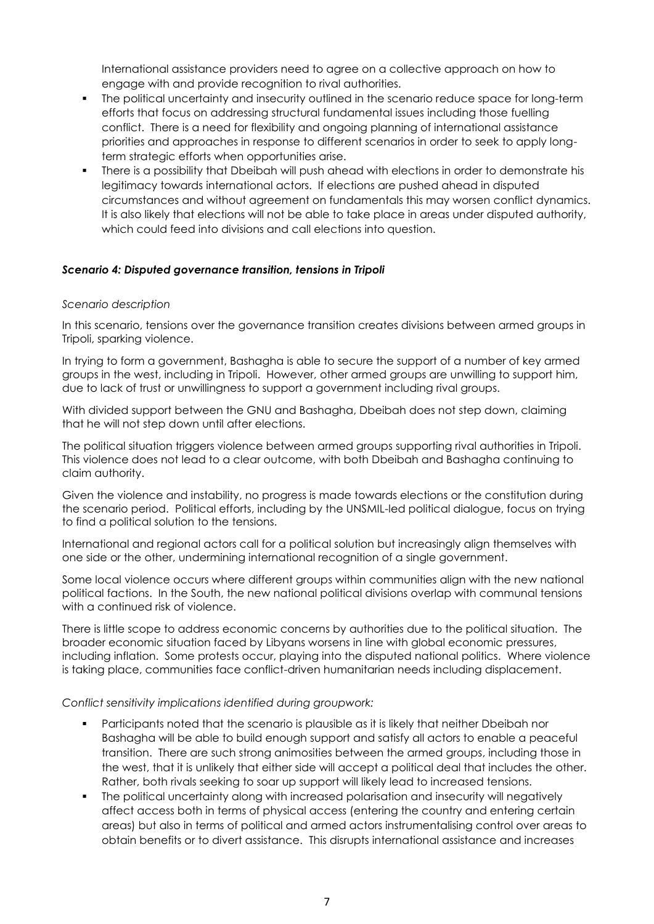International assistance providers need to agree on a collective approach on how to engage with and provide recognition to rival authorities.

- The political uncertainty and insecurity outlined in the scenario reduce space for long-term efforts that focus on addressing structural fundamental issues including those fuelling conflict. There is a need for flexibility and ongoing planning of international assistance priorities and approaches in response to different scenarios in order to seek to apply longterm strategic efforts when opportunities arise.
- There is a possibility that Dbeibah will push ahead with elections in order to demonstrate his legitimacy towards international actors. If elections are pushed ahead in disputed circumstances and without agreement on fundamentals this may worsen conflict dynamics. It is also likely that elections will not be able to take place in areas under disputed authority, which could feed into divisions and call elections into question.

# *Scenario 4: Disputed governance transition, tensions in Tripoli*

#### *Scenario description*

In this scenario, tensions over the governance transition creates divisions between armed groups in Tripoli, sparking violence.

In trying to form a government, Bashagha is able to secure the support of a number of key armed groups in the west, including in Tripoli. However, other armed groups are unwilling to support him, due to lack of trust or unwillingness to support a government including rival groups.

With divided support between the GNU and Bashagha, Dbeibah does not step down, claiming that he will not step down until after elections.

The political situation triggers violence between armed groups supporting rival authorities in Tripoli. This violence does not lead to a clear outcome, with both Dbeibah and Bashagha continuing to claim authority.

Given the violence and instability, no progress is made towards elections or the constitution during the scenario period. Political efforts, including by the UNSMIL-led political dialogue, focus on trying to find a political solution to the tensions.

International and regional actors call for a political solution but increasingly align themselves with one side or the other, undermining international recognition of a single government.

Some local violence occurs where different groups within communities align with the new national political factions. In the South, the new national political divisions overlap with communal tensions with a continued risk of violence.

There is little scope to address economic concerns by authorities due to the political situation. The broader economic situation faced by Libyans worsens in line with global economic pressures, including inflation. Some protests occur, playing into the disputed national politics. Where violence is taking place, communities face conflict-driven humanitarian needs including displacement.

#### *Conflict sensitivity implications identified during groupwork:*

- Participants noted that the scenario is plausible as it is likely that neither Dbeibah nor Bashagha will be able to build enough support and satisfy all actors to enable a peaceful transition. There are such strong animosities between the armed groups, including those in the west, that it is unlikely that either side will accept a political deal that includes the other. Rather, both rivals seeking to soar up support will likely lead to increased tensions.
- The political uncertainty along with increased polarisation and insecurity will negatively affect access both in terms of physical access (entering the country and entering certain areas) but also in terms of political and armed actors instrumentalising control over areas to obtain benefits or to divert assistance. This disrupts international assistance and increases